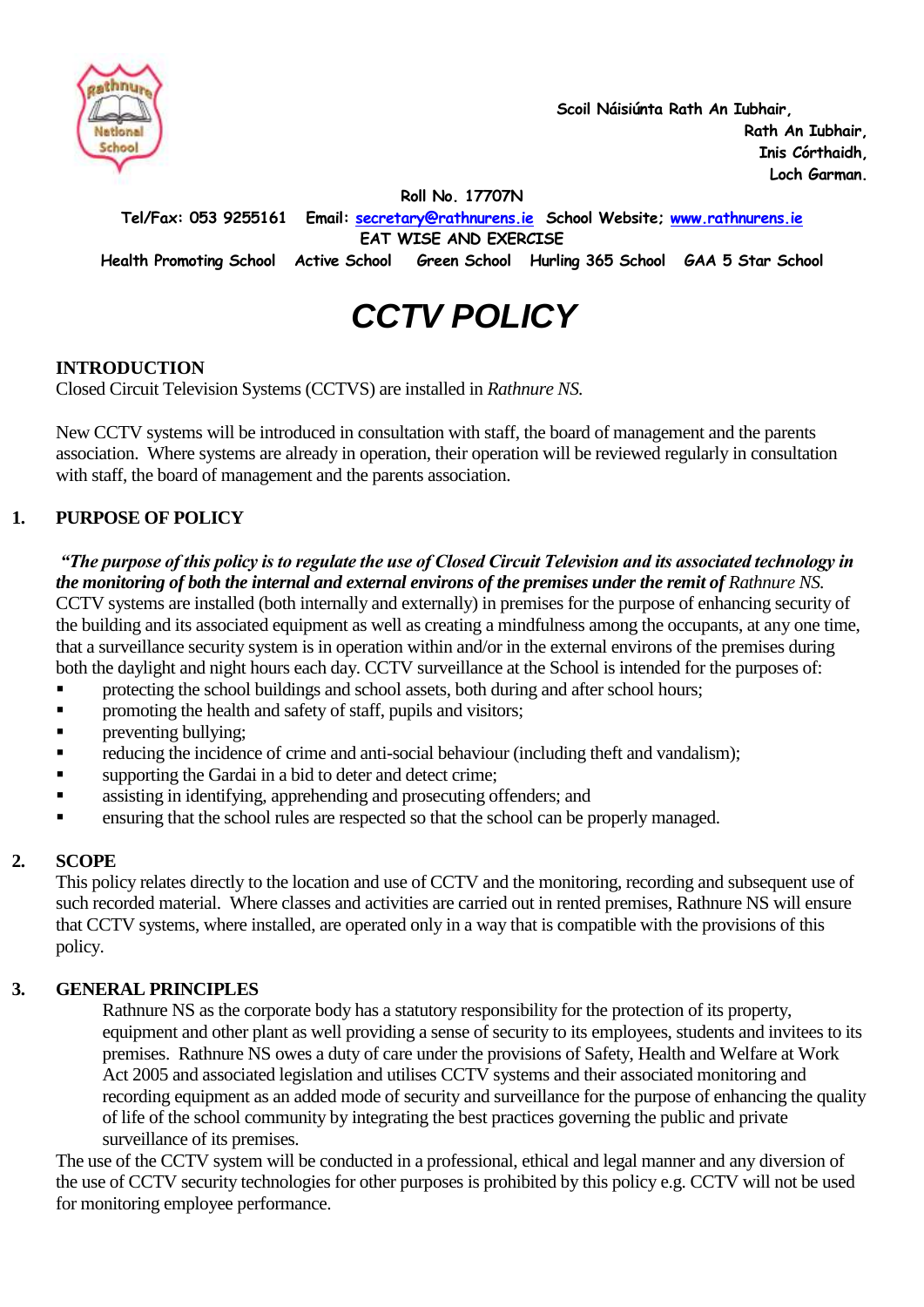

 **Scoil Náisiúnta Rath An Iubhair, Rath An Iubhair, Inis Córthaidh, Loch Garman.**

**Roll No. 17707N**

**Tel/Fax: 053 9255161 Email: [secretary@rathnurens.ie](mailto:secretary@rathnurens.ie) School Website; [www.rathnurens.ie](http://www.rathnurens.ie/)**

**EAT WISE AND EXERCISE**

**Health Promoting School Active School Green School Hurling 365 School GAA 5 Star School**

# *CCTV POLICY*

#### **INTRODUCTION**

Closed Circuit Television Systems (CCTVS) are installed in *Rathnure NS.*

New CCTV systems will be introduced in consultation with staff, the board of management and the parents association. Where systems are already in operation, their operation will be reviewed regularly in consultation with staff, the board of management and the parents association.

### **1. PURPOSE OF POLICY**

*"The purpose of this policy is to regulate the use of Closed Circuit Television and its associated technology in the monitoring of both the internal and external environs of the premises under the remit of Rathnure NS.* CCTV systems are installed (both internally and externally) in premises for the purpose of enhancing security of the building and its associated equipment as well as creating a mindfulness among the occupants, at any one time, that a surveillance security system is in operation within and/or in the external environs of the premises during both the daylight and night hours each day. CCTV surveillance at the School is intended for the purposes of:

- **F** protecting the school buildings and school assets, both during and after school hours;
- promoting the health and safety of staff, pupils and visitors;
- preventing bullying;
- reducing the incidence of crime and anti-social behaviour (including theft and vandalism);
- supporting the Gardai in a bid to deter and detect crime;
- assisting in identifying, apprehending and prosecuting offenders; and
- ensuring that the school rules are respected so that the school can be properly managed.

#### **2. SCOPE**

This policy relates directly to the location and use of CCTV and the monitoring, recording and subsequent use of such recorded material. Where classes and activities are carried out in rented premises, Rathnure NS will ensure that CCTV systems, where installed, are operated only in a way that is compatible with the provisions of this policy.

### **3. GENERAL PRINCIPLES**

Rathnure NS as the corporate body has a statutory responsibility for the protection of its property, equipment and other plant as well providing a sense of security to its employees, students and invitees to its premises. Rathnure NS owes a duty of care under the provisions of Safety, Health and Welfare at Work Act 2005 and associated legislation and utilises CCTV systems and their associated monitoring and recording equipment as an added mode of security and surveillance for the purpose of enhancing the quality of life of the school community by integrating the best practices governing the public and private surveillance of its premises.

The use of the CCTV system will be conducted in a professional, ethical and legal manner and any diversion of the use of CCTV security technologies for other purposes is prohibited by this policy e.g. CCTV will not be used for monitoring employee performance.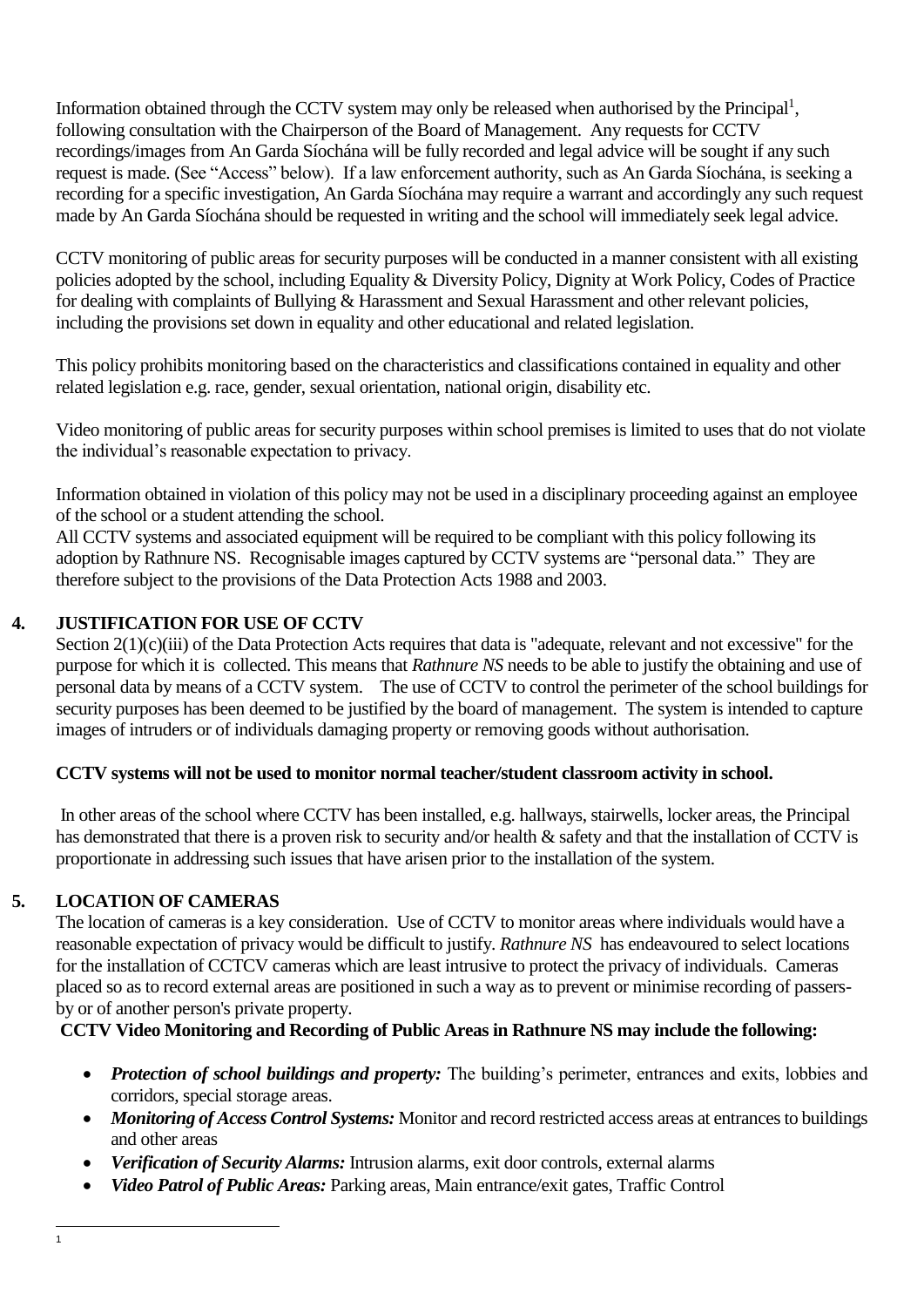Information obtained through the CCTV system may only be released when authorised by the Principal<sup>1</sup>, following consultation with the Chairperson of the Board of Management. Any requests for CCTV recordings/images from An Garda Síochána will be fully recorded and legal advice will be sought if any such request is made. (See "Access" below). If a law enforcement authority, such as An Garda Síochána, is seeking a recording for a specific investigation, An Garda Síochána may require a warrant and accordingly any such request made by An Garda Síochána should be requested in writing and the school will immediately seek legal advice.

CCTV monitoring of public areas for security purposes will be conducted in a manner consistent with all existing policies adopted by the school, including Equality & Diversity Policy, Dignity at Work Policy, Codes of Practice for dealing with complaints of Bullying & Harassment and Sexual Harassment and other relevant policies, including the provisions set down in equality and other educational and related legislation.

This policy prohibits monitoring based on the characteristics and classifications contained in equality and other related legislation e.g. race, gender, sexual orientation, national origin, disability etc.

Video monitoring of public areas for security purposes within school premises is limited to uses that do not violate the individual's reasonable expectation to privacy.

Information obtained in violation of this policy may not be used in a disciplinary proceeding against an employee of the school or a student attending the school.

All CCTV systems and associated equipment will be required to be compliant with this policy following its adoption by Rathnure NS. Recognisable images captured by CCTV systems are ["personal data.](http://www.dataprotection.ie/viewdoc.asp?m=m&fn=/documents/guidance/310604.htm)" They are therefore subject to the provisions of the [Data Protection](http://www.dataprotection.ie/viewdoc.asp?DocID=796&ad=1) Acts 1988 and 2003.

### **4. JUSTIFICATION FOR USE OF CCTV**

Section 2(1)(c)(iii) of the Data Protection Acts requires that data is "adequate, relevant and not excessive" for the purpose for which it is collected. This means that *Rathnure NS* needs to be able to justify the obtaining and use of personal data by means of a CCTV system. The use of CCTV to control the perimeter of the school buildings for security purposes has been deemed to be justified by the board of management. The system is intended to capture images of intruders or of individuals damaging property or removing goods without authorisation.

### **CCTV systems will not be used to monitor normal teacher/student classroom activity in school.**

In other areas of the school where CCTV has been installed, e.g. hallways, stairwells, locker areas, the Principal has demonstrated that there is a proven risk to security and/or health & safety and that the installation of CCTV is proportionate in addressing such issues that have arisen prior to the installation of the system.

### **5. LOCATION OF CAMERAS**

The location of cameras is a key consideration. Use of CCTV to monitor areas where individuals would have a reasonable expectation of privacy would be difficult to justify. *Rathnure NS* has endeavoured to select locations for the installation of CCTCV cameras which are least intrusive to protect the privacy of individuals. Cameras placed so as to record external areas are positioned in such a way as to prevent or minimise recording of passersby or of another person's private property.

### **CCTV Video Monitoring and Recording of Public Areas in Rathnure NS may include the following:**

- *Protection of school buildings and property:* The building's perimeter, entrances and exits, lobbies and corridors, special storage areas.
- *Monitoring of Access Control Systems:* Monitor and record restricted access areas at entrances to buildings and other areas
- *Verification of Security Alarms:* Intrusion alarms, exit door controls, external alarms
- *Video Patrol of Public Areas:* Parking areas, Main entrance/exit gates, Traffic Control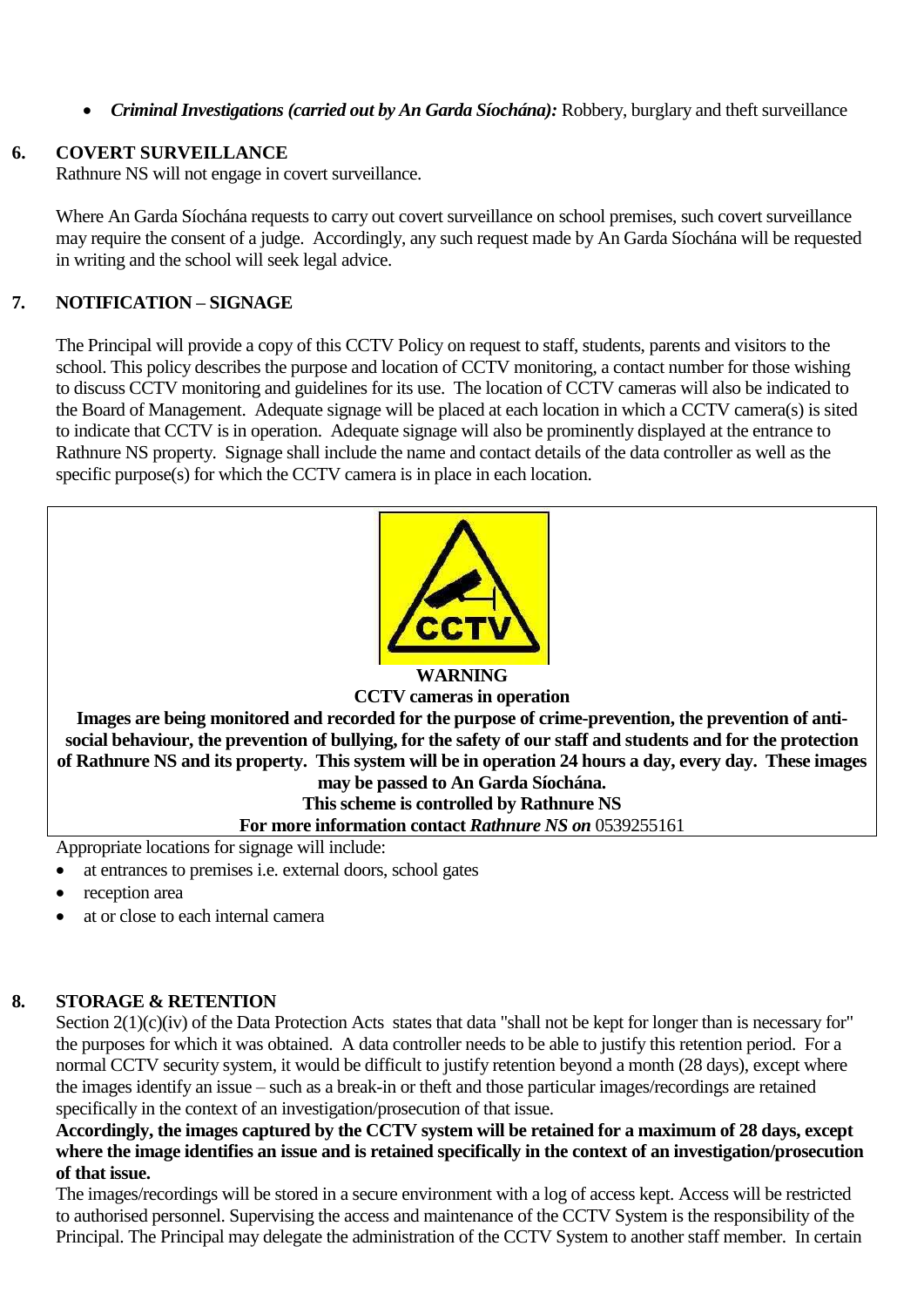*Criminal Investigations (carried out by An Garda Síochána):* Robbery, burglary and theft surveillance

### **6. COVERT SURVEILLANCE**

Rathnure NS will not engage in covert surveillance.

Where An Garda Síochána requests to carry out covert surveillance on school premises, such covert surveillance may require the consent of a judge. Accordingly, any such request made by An Garda Síochána will be requested in writing and the school will seek legal advice.

# **7. NOTIFICATION – SIGNAGE**

The Principal will provide a copy of this CCTV Policy on request to staff, students, parents and visitors to the school. This policy describes the purpose and location of CCTV monitoring, a contact number for those wishing to discuss CCTV monitoring and guidelines for its use. The location of CCTV cameras will also be indicated to the Board of Management. Adequate signage will be placed at each location in which a CCTV camera(s) is sited to indicate that CCTV is in operation. Adequate signage will also be prominently displayed at the entrance to Rathnure NS property. Signage shall include the name and contact details of the data controller as well as the specific purpose(s) for which the CCTV camera is in place in each location.



# **WARNING**

### **CCTV cameras in operation Images are being monitored and recorded for the purpose of crime-prevention, the prevention of antisocial behaviour, the prevention of bullying, for the safety of our staff and students and for the protection of Rathnure NS and its property. This system will be in operation 24 hours a day, every day. These images**

**may be passed to An Garda Síochána.** 

**This scheme is controlled by Rathnure NS For more information contact** *Rathnure NS on* 0539255161

Appropriate locations for signage will include:

- at entrances to premises i.e. external doors, school gates
- reception area
- at or close to each internal camera

# **8. STORAGE & RETENTION**

Section  $2(1)(c)(iv)$  of the Data Protection Acts states that data "shall not be kept for longer than is necessary for" the purposes for which it was obtained. A data controller needs to be able to justify this retention period. For a normal CCTV security system, it would be difficult to justify retention beyond a month (28 days), except where the images identify an issue – such as a break-in or theft and those particular images/recordings are retained specifically in the context of an investigation/prosecution of that issue.

**Accordingly, the images captured by the CCTV system will be retained for a maximum of 28 days, except where the image identifies an issue and is retained specifically in the context of an investigation/prosecution of that issue.**

The images/recordings will be stored in a secure environment with a log of access kept. Access will be restricted to authorised personnel. Supervising the access and maintenance of the CCTV System is the responsibility of the Principal. The Principal may delegate the administration of the CCTV System to another staff member. In certain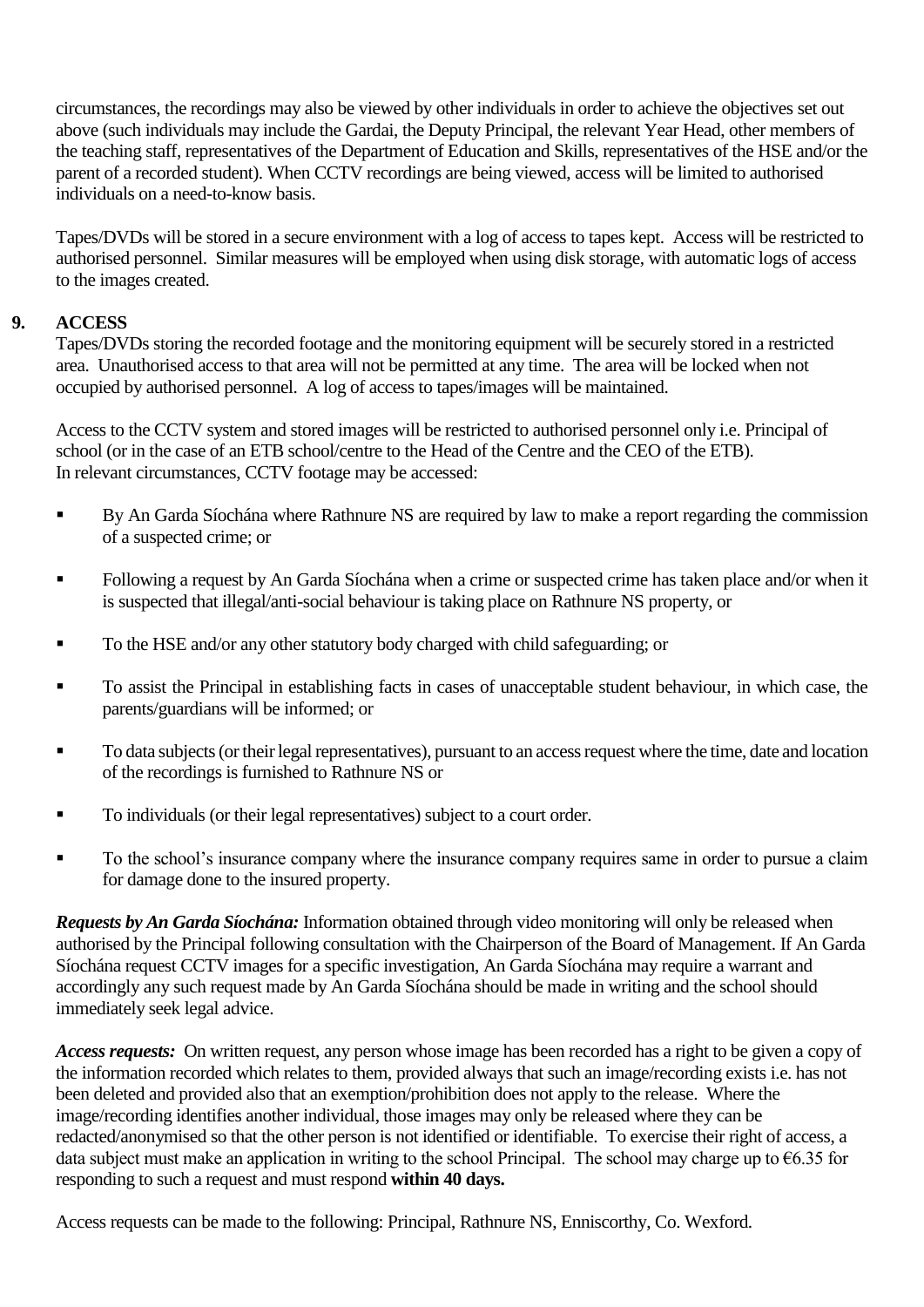circumstances, the recordings may also be viewed by other individuals in order to achieve the objectives set out above (such individuals may include the Gardai, the Deputy Principal, the relevant Year Head, other members of the teaching staff, representatives of the Department of Education and Skills, representatives of the HSE and/or the parent of a recorded student). When CCTV recordings are being viewed, access will be limited to authorised individuals on a need-to-know basis.

Tapes/DVDs will be stored in a secure environment with a log of access to tapes kept. Access will be restricted to authorised personnel. Similar measures will be employed when using disk storage, with automatic logs of access to the images created.

#### **9. ACCESS**

Tapes/DVDs storing the recorded footage and the monitoring equipment will be securely stored in a restricted area. Unauthorised access to that area will not be permitted at any time. The area will be locked when not occupied by authorised personnel. A log of access to tapes/images will be maintained.

Access to the CCTV system and stored images will be restricted to authorised personnel only i.e. Principal of school (or in the case of an ETB school/centre to the Head of the Centre and the CEO of the ETB). In relevant circumstances, CCTV footage may be accessed:

- By An Garda Síochána where Rathnure NS are required by law to make a report regarding the commission of a suspected crime; or
- Following a request by An Garda Síochána when a crime or suspected crime has taken place and/or when it is suspected that illegal/anti-social behaviour is taking place on Rathnure NS property, or
- To the HSE and/or any other statutory body charged with child safeguarding; or
- To assist the Principal in establishing facts in cases of unacceptable student behaviour, in which case, the parents/guardians will be informed; or
- To data subjects (or their legal representatives), pursuant to an access request where the time, date and location of the recordings is furnished to Rathnure NS or
- To individuals (or their legal representatives) subject to a court order.
- To the school's insurance company where the insurance company requires same in order to pursue a claim for damage done to the insured property.

*Requests by An Garda Síochána:* Information obtained through video monitoring will only be released when authorised by the Principal following consultation with the Chairperson of the Board of Management. If An Garda Síochána request CCTV images for a specific investigation, An Garda Síochána may require a warrant and accordingly any such request made by An Garda Síochána should be made in writing and the school should immediately seek legal advice.

*Access requests:* On written request, any person whose image has been recorded has a right to be given a copy of the information recorded which relates to them, provided always that such an image/recording exists i.e. has not been deleted and provided also that an exemption/prohibition does not apply to the release. Where the image/recording identifies another individual, those images may only be released where they can be redacted/anonymised so that the other person is not identified or identifiable. To exercise their right of access, a data subject must make an application in writing to the school Principal. The school may charge up to  $\epsilon$ 6.35 for responding to such a request and must respond **within 40 days.**

Access requests can be made to the following: Principal, Rathnure NS, Enniscorthy, Co. Wexford*.*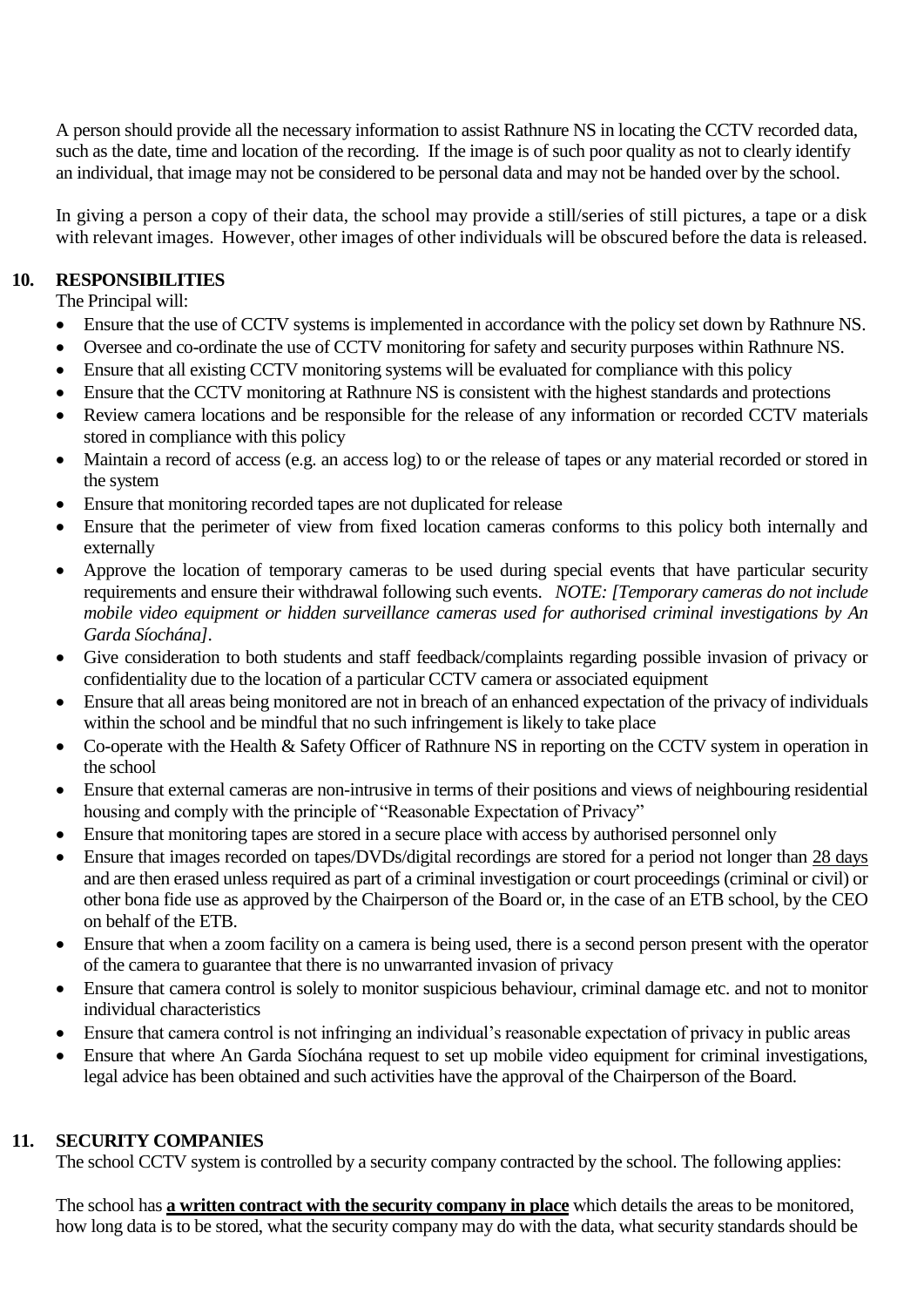A person should provide all the necessary information to assist Rathnure NS in locating the CCTV recorded data, such as the date, time and location of the recording. If the image is of such poor quality as not to clearly identify an individual, that image may not be considered to be personal data and may not be handed over by the school.

In giving a person a copy of their data, the school may provide a still/series of still pictures, a tape or a disk with relevant images. However, other images of other individuals will be obscured before the data is released.

### **10. RESPONSIBILITIES**

The Principal will:

- Ensure that the use of CCTV systems is implemented in accordance with the policy set down by Rathnure NS.
- Oversee and co-ordinate the use of CCTV monitoring for safety and security purposes within Rathnure NS.
- Ensure that all existing CCTV monitoring systems will be evaluated for compliance with this policy
- Ensure that the CCTV monitoring at Rathnure NS is consistent with the highest standards and protections
- Review camera locations and be responsible for the release of any information or recorded CCTV materials stored in compliance with this policy
- Maintain a record of access (e.g. an access log) to or the release of tapes or any material recorded or stored in the system
- Ensure that monitoring recorded tapes are not duplicated for release
- Ensure that the perimeter of view from fixed location cameras conforms to this policy both internally and externally
- Approve the location of temporary cameras to be used during special events that have particular security requirements and ensure their withdrawal following such events. *NOTE: [Temporary cameras do not include mobile video equipment or hidden surveillance cameras used for authorised criminal investigations by An Garda Síochána].*
- Give consideration to both students and staff feedback/complaints regarding possible invasion of privacy or confidentiality due to the location of a particular CCTV camera or associated equipment
- Ensure that all areas being monitored are not in breach of an enhanced expectation of the privacy of individuals within the school and be mindful that no such infringement is likely to take place
- Co-operate with the Health & Safety Officer of Rathnure NS in reporting on the CCTV system in operation in the school
- Ensure that external cameras are non-intrusive in terms of their positions and views of neighbouring residential housing and comply with the principle of "Reasonable Expectation of Privacy"
- Ensure that monitoring tapes are stored in a secure place with access by authorised personnel only
- Ensure that images recorded on tapes/DVDs/digital recordings are stored for a period not longer than 28 days and are then erased unless required as part of a criminal investigation or court proceedings (criminal or civil) or other bona fide use as approved by the Chairperson of the Board or, in the case of an ETB school, by the CEO on behalf of the ETB.
- Ensure that when a zoom facility on a camera is being used, there is a second person present with the operator of the camera to guarantee that there is no unwarranted invasion of privacy
- Ensure that camera control is solely to monitor suspicious behaviour, criminal damage etc. and not to monitor individual characteristics
- Ensure that camera control is not infringing an individual's reasonable expectation of privacy in public areas
- Ensure that where An Garda Síochána request to set up mobile video equipment for criminal investigations, legal advice has been obtained and such activities have the approval of the Chairperson of the Board.

### **11. SECURITY COMPANIES**

The school CCTV system is controlled by a security company contracted by the school. The following applies:

The school has **a written contract with the security company in place** which details the areas to be monitored, how long data is to be stored, what the security company may do with the data, what security standards should be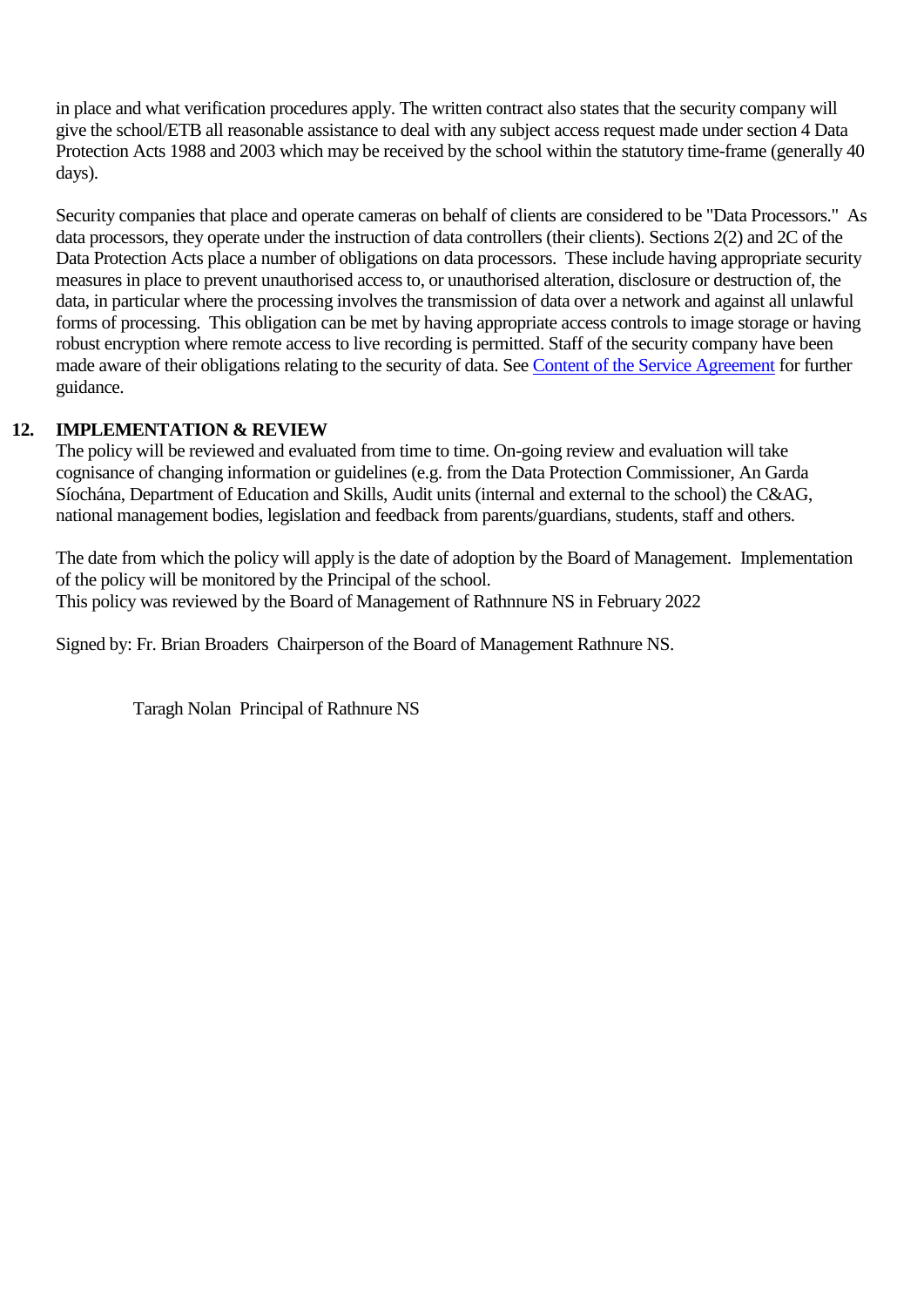in place and what verification procedures apply. The written contract also states that the security company will give the school/ETB all reasonable assistance to deal with any subject access request made under section 4 Data Protection Acts 1988 and 2003 which may be received by the school within the statutory time-frame (generally 40 days).

Security companies that place and operate cameras on behalf of clients are considered to be "Data Processors." As data processors, they operate under the instruction of data controllers (their clients). Sections 2(2) and 2C of the Data Protection Acts place a number of obligations on data processors. These include having appropriate security measures in place to prevent unauthorised access to, or unauthorised alteration, disclosure or destruction of, the data, in particular where the processing involves the transmission of data over a network and against all unlawful forms of processing. This obligation can be met by having appropriate access controls to image storage or having robust encryption where remote access to live recording is permitted. Staff of the security company have been made aware of their obligations relating to the security of data. See [Content of the Service Agreement](http://www.dataprotectionschools.ie/en/Data-Protection-Guidelines/Third-Party-Service-Agreements/Content-of-the-Agreement/) for further guidance.

### **12. IMPLEMENTATION & REVIEW**

The policy will be reviewed and evaluated from time to time. On-going review and evaluation will take cognisance of changing information or guidelines (e.g. from the Data Protection Commissioner, An Garda Síochána, Department of Education and Skills, Audit units (internal and external to the school) the C&AG, national management bodies, legislation and feedback from parents/guardians, students, staff and others.

The date from which the policy will apply is the date of adoption by the Board of Management. Implementation of the policy will be monitored by the Principal of the school. This policy was reviewed by the Board of Management of Rathnnure NS in February 2022

Signed by: Fr. Brian Broaders Chairperson of the Board of Management Rathnure NS.

Taragh Nolan Principal of Rathnure NS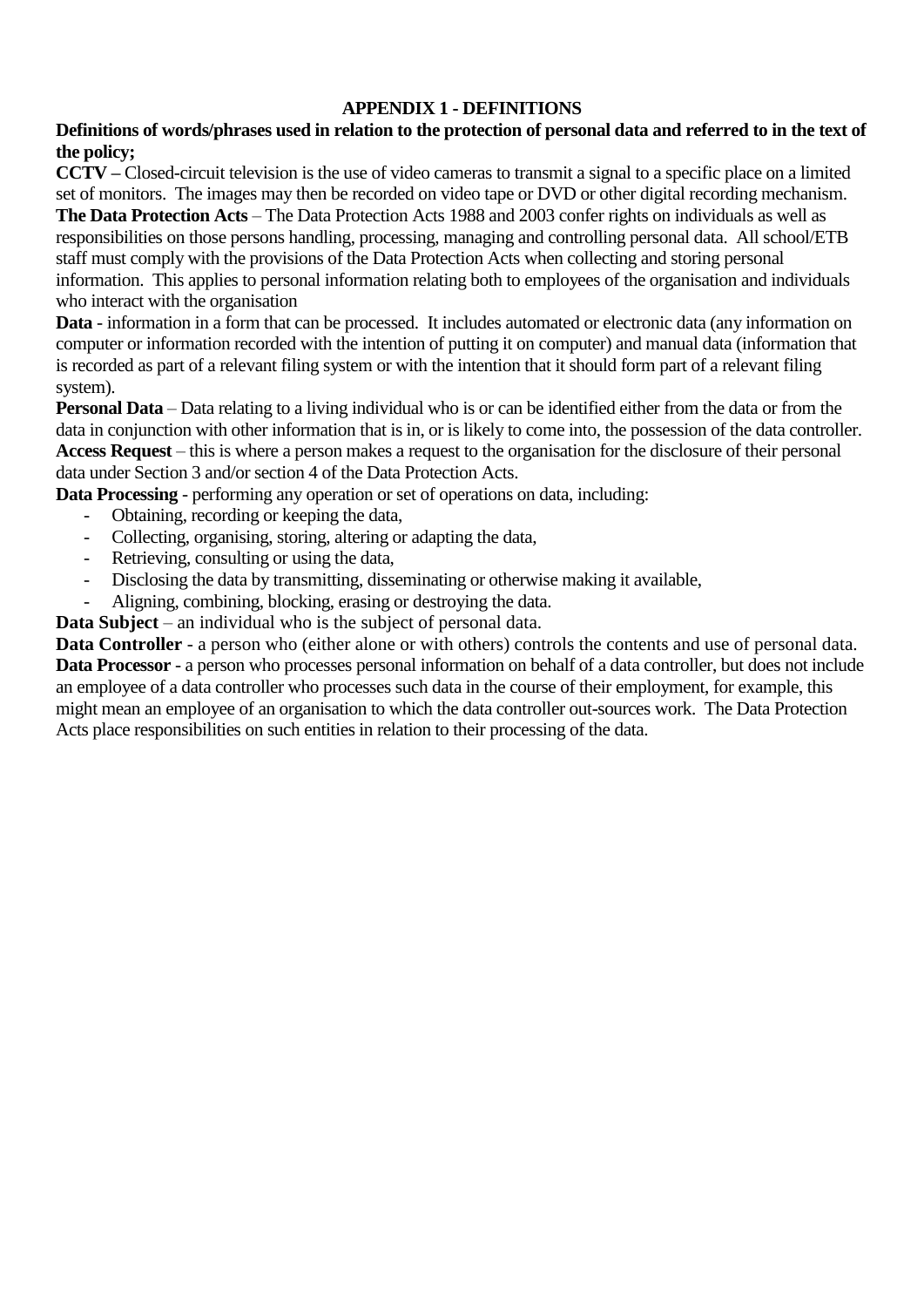### **APPENDIX 1 - DEFINITIONS**

### **Definitions of words/phrases used in relation to the protection of personal data and referred to in the text of the policy;**

**CCTV –** Closed-circuit television is the use of video cameras to transmit a signal to a specific place on a limited set of monitors. The images may then be recorded on video tape or DVD or other digital recording mechanism. **The Data Protection Acts** – The Data Protection Acts 1988 and 2003 confer rights on individuals as well as responsibilities on those persons handling, processing, managing and controlling personal data. All school/ETB staff must comply with the provisions of the Data Protection Acts when collecting and storing personal information. This applies to personal information relating both to employees of the organisation and individuals who interact with the organisation

**Data** - information in a form that can be processed. It includes automated or electronic data (any information on computer or information recorded with the intention of putting it on computer) and manual data (information that is recorded as part of a relevant filing system or with the intention that it should form part of a relevant filing system).

**Personal Data** – Data relating to a living individual who is or can be identified either from the data or from the data in conjunction with other information that is in, or is likely to come into, the possession of the data controller. **Access Request** – this is where a person makes a request to the organisation for the disclosure of their personal data under Section 3 and/or section 4 of the Data Protection Acts.

**Data Processing** - performing any operation or set of operations on data, including:

- Obtaining, recording or keeping the data,
- Collecting, organising, storing, altering or adapting the data,
- Retrieving, consulting or using the data,
- Disclosing the data by transmitting, disseminating or otherwise making it available,
- Aligning, combining, blocking, erasing or destroying the data.

**Data Subject** – an individual who is the subject of personal data.

**Data Controller** - a person who (either alone or with others) controls the contents and use of personal data. **Data Processor** - a person who processes personal information on behalf of a data controller, but does not include an employee of a data controller who processes such data in the course of their employment, for example, this might mean an employee of an organisation to which the data controller out-sources work. The Data Protection Acts place responsibilities on such entities in relation to their processing of the data.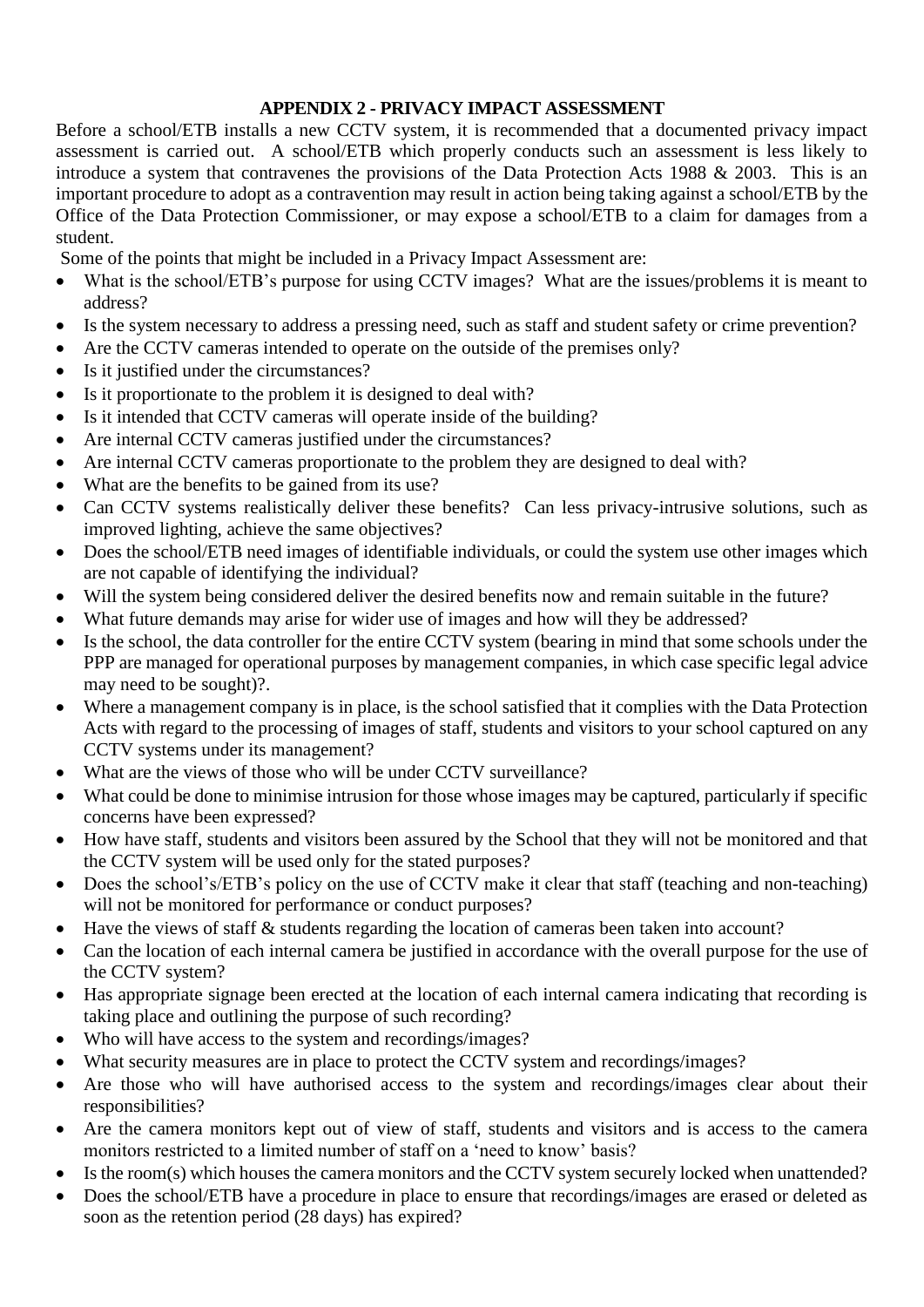### **APPENDIX 2 - PRIVACY IMPACT ASSESSMENT**

Before a school/ETB installs a new CCTV system, it is recommended that a documented privacy impact assessment is carried out. A school/ETB which properly conducts such an assessment is less likely to introduce a system that contravenes the provisions of the Data Protection Acts 1988 & 2003. This is an important procedure to adopt as a contravention may result in action being taking against a school/ETB by the Office of the Data Protection Commissioner, or may expose a school/ETB to a claim for damages from a student.

Some of the points that might be included in a Privacy Impact Assessment are:

- What is the school/ETB's purpose for using CCTV images? What are the issues/problems it is meant to address?
- Is the system necessary to address a pressing need, such as staff and student safety or crime prevention?
- Are the CCTV cameras intended to operate on the outside of the premises only?
- Is it justified under the circumstances?
- Is it proportionate to the problem it is designed to deal with?
- Is it intended that CCTV cameras will operate inside of the building?
- Are internal CCTV cameras justified under the circumstances?
- Are internal CCTV cameras proportionate to the problem they are designed to deal with?
- What are the benefits to be gained from its use?
- Can CCTV systems realistically deliver these benefits? Can less privacy-intrusive solutions, such as improved lighting, achieve the same objectives?
- Does the school/ETB need images of identifiable individuals, or could the system use other images which are not capable of identifying the individual?
- Will the system being considered deliver the desired benefits now and remain suitable in the future?
- What future demands may arise for wider use of images and how will they be addressed?
- Is the school, the data controller for the entire CCTV system (bearing in mind that some schools under the PPP are managed for operational purposes by management companies, in which case specific legal advice may need to be sought)?.
- Where a management company is in place, is the school satisfied that it complies with the Data Protection Acts with regard to the processing of images of staff, students and visitors to your school captured on any CCTV systems under its management?
- What are the views of those who will be under CCTV surveillance?
- What could be done to minimise intrusion for those whose images may be captured, particularly if specific concerns have been expressed?
- How have staff, students and visitors been assured by the School that they will not be monitored and that the CCTV system will be used only for the stated purposes?
- Does the school's/ETB's policy on the use of CCTV make it clear that staff (teaching and non-teaching) will not be monitored for performance or conduct purposes?
- Have the views of staff & students regarding the location of cameras been taken into account?
- Can the location of each internal camera be justified in accordance with the overall purpose for the use of the CCTV system?
- Has appropriate signage been erected at the location of each internal camera indicating that recording is taking place and outlining the purpose of such recording?
- Who will have access to the system and recordings/images?
- What security measures are in place to protect the CCTV system and recordings/images?
- Are those who will have authorised access to the system and recordings/images clear about their responsibilities?
- Are the camera monitors kept out of view of staff, students and visitors and is access to the camera monitors restricted to a limited number of staff on a 'need to know' basis?
- Is the room(s) which houses the camera monitors and the CCTV system securely locked when unattended?
- Does the school/ETB have a procedure in place to ensure that recordings/images are erased or deleted as soon as the retention period (28 days) has expired?